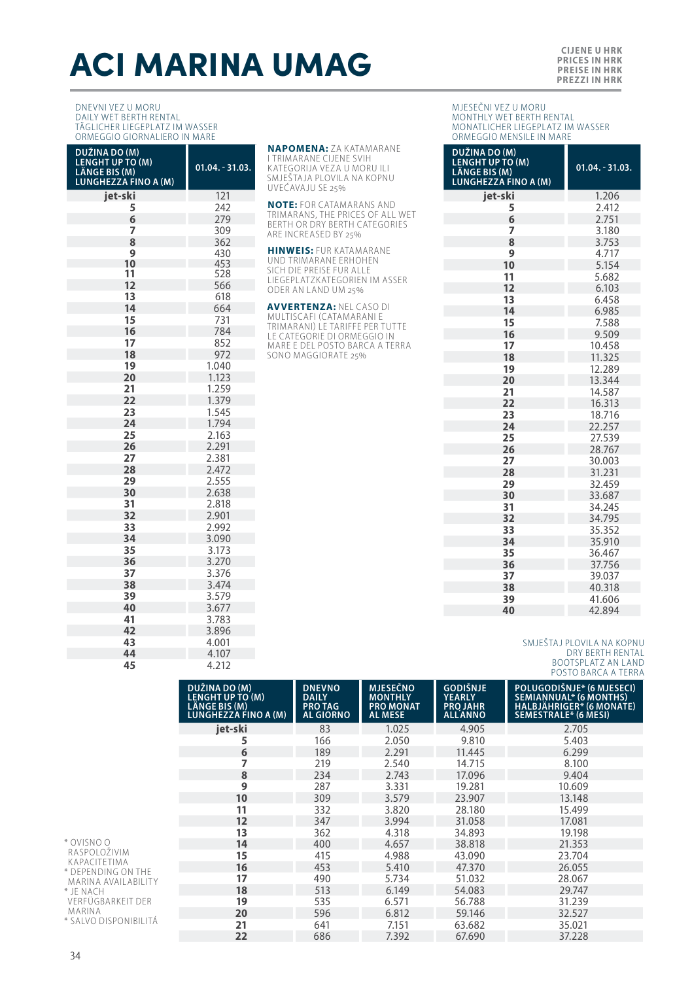# ACI MARINA UMAG

### DNEVNI VEZ U MORU DAILY WET BERTH RENTAL TÄGLICHER LIEGEPLATZ IM WASSER ORMEGGIO GIORNALIERO IN MARE

| $01.04. - 31.03.$ |
|-------------------|
| 121               |
| 242               |
| 279               |
| 309               |
| 362               |
| 430               |
| 453               |
| 528<br>566        |
| 618               |
| 664               |
| 731               |
| 784               |
| 852               |
| 972               |
| 1.040             |
| 1.123             |
| 1.259             |
| 1.379             |
| 1.545             |
| 1.794             |
| 2.163             |
| 2.291             |
| 2.381             |
| 2.472             |
| 2.555             |
| 2.638             |
| 2.818             |
| 2.901             |
| 2.992             |
| 3.090             |
| 3.173             |
| 3.270             |
| 3.376             |
| 3.474             |
| 3.579             |
| 3.677             |
| 3.783             |
| 3.896             |
| 4.001<br>4.107    |
| 4.212             |
|                   |

**NAPOMENA:** ZA KATAMARANE<br>I TRIMARANE CIJENE SVIH<br>KATEGORIJA VEZA U MORU ILI SMJEŠTAJA PLOVILA NA KOPNU UVEĆAVAJU SE 25%

**NOTE:** FOR CATAMARANS AND TRIMARANS, THE PRICES OF ALL WET BERTH OR DRY BERTH CATEGORIES ARE INCREASED BY 25%

**HINWEIS:** FUR KATAMARANE UND TRIMARANE ERHOHEN SICH DIE PREISE FUR ALLE LIEGEPLATZKATEGORIEN IM ASSER ODER AN LAND UM 25%

**AVVERTENZA:** NEL CASO DI<br>MULTISCAFI (CATAMARANI E<br>TRIMARANI) LE TARIFFE PER TUTTE LE CATEGORIE DI ORMEGGIO IN MARE E DEL POSTO BARCA A TERRA SONO MAGGIORATE 25%

#### MJESEČNI VEZ U MORU MONTHLY WET BERTH RENTAL MONATLICHER LIEGEPLATZ IM WASSER ORMEGGIO MENSILE IN MARE

| DUŽINA DO (M)<br><b>LENGHT UP TO (M)</b><br>LÄNGE BIS (M)<br><b>LUNGHEZZA FINO A (M)</b> | $01.04. - 31.03.$ |
|------------------------------------------------------------------------------------------|-------------------|
| jet-ski                                                                                  | 1.206             |
| 5                                                                                        | 2.412             |
| 6                                                                                        | 2.751             |
| 7                                                                                        | 3.180             |
| 8                                                                                        | 3.753             |
| 9                                                                                        | 4.717             |
| 10                                                                                       | 5.154             |
| 11                                                                                       | 5.682             |
| 12                                                                                       | 6.103             |
| 13                                                                                       | 6.458             |
| 14                                                                                       | 6.985             |
| 15                                                                                       | 7.588             |
| 16                                                                                       | 9.509             |
| 17                                                                                       | 10.458            |
| 18                                                                                       | 11.325<br>12.289  |
| 19<br>20                                                                                 | 13.344            |
| 21                                                                                       | 14.587            |
| 22                                                                                       | 16.313            |
| 23                                                                                       | 18.716            |
| 24                                                                                       | 22.257            |
| 25                                                                                       | 27.539            |
| 26                                                                                       | 28.767            |
| 27                                                                                       | 30.003            |
| 28                                                                                       | 31.231            |
| 29                                                                                       | 32.459            |
| 30                                                                                       | 33.687            |
| 31                                                                                       | 34.245            |
| 32                                                                                       | 34.795            |
| 33                                                                                       | 35.352            |
| 34                                                                                       | 35.910            |
| 35                                                                                       | 36.467            |
| 36                                                                                       | 37.756            |
| 37                                                                                       | 39.037            |
| 38                                                                                       | 40.318            |
| 39                                                                                       | 41.606            |
| 40                                                                                       | 42.894            |

# SMJEŠTAJ PLOVILA NA KOPNU DRY BERTH RENTAL BOOTSPLATZ AN LAND POSTO BARCA A TERRA

|                                                                                                      | DUŽINA DO (M)<br>LENGHT UP TO (M)<br>LÄNGE BIS (M)<br>LUNGHEZZA FINO A (M) | <b>DNEVNO</b><br><b>DAILY</b><br><b>PRO TAG</b><br><b>AL GIORNO</b> | <b>MJESEČNO</b><br><b>MONTHLY</b><br><b>PRO MONAT</b><br><b>ALMESE</b> | <b>GODIŠNJE</b><br><b>YEARLY</b><br><b>PROJAHR</b><br><b>ALL ANNO</b> | POLUGODIŠNJE* (6 MJESECI)<br>SEMIANNUAL* (6 MONTHS)<br>HALBJÄHRIGER* (6 MONATE)<br>SEMESTRALE* (6 MESI) |
|------------------------------------------------------------------------------------------------------|----------------------------------------------------------------------------|---------------------------------------------------------------------|------------------------------------------------------------------------|-----------------------------------------------------------------------|---------------------------------------------------------------------------------------------------------|
|                                                                                                      | jet-ski                                                                    | 83                                                                  | 1.025                                                                  | 4.905                                                                 | 2.705                                                                                                   |
| * OVISNO O<br>RASPOLOŽIVIM<br>KAPACITETIMA<br>* DEPENDING ON THE<br>MARINA AVAILABILITY<br>* JE NACH |                                                                            | 166                                                                 | 2.050                                                                  | 9.810                                                                 | 5.403                                                                                                   |
|                                                                                                      | 6                                                                          | 189                                                                 | 2.291                                                                  | 11.445                                                                | 6.299                                                                                                   |
|                                                                                                      |                                                                            | 219                                                                 | 2.540                                                                  | 14.715                                                                | 8.100                                                                                                   |
|                                                                                                      | 8                                                                          | 234                                                                 | 2.743                                                                  | 17.096                                                                | 9.404                                                                                                   |
|                                                                                                      | 9                                                                          | 287                                                                 | 3.331                                                                  | 19.281                                                                | 10.609                                                                                                  |
|                                                                                                      | 10                                                                         | 309                                                                 | 3.579                                                                  | 23.907                                                                | 13.148                                                                                                  |
|                                                                                                      | 11                                                                         | 332                                                                 | 3.820                                                                  | 28.180                                                                | 15.499                                                                                                  |
|                                                                                                      | 12                                                                         | 347                                                                 | 3.994                                                                  | 31.058                                                                | 17.081                                                                                                  |
|                                                                                                      | 13                                                                         | 362                                                                 | 4.318                                                                  | 34.893                                                                | 19.198                                                                                                  |
|                                                                                                      | 14                                                                         | 400                                                                 | 4.657                                                                  | 38.818                                                                | 21.353                                                                                                  |
|                                                                                                      | 15                                                                         | 415                                                                 | 4.988                                                                  | 43.090                                                                | 23.704                                                                                                  |
|                                                                                                      | 16                                                                         | 453                                                                 | 5.410                                                                  | 47.370                                                                | 26.055                                                                                                  |
|                                                                                                      | 17                                                                         | 490                                                                 | 5.734                                                                  | 51.032                                                                | 28.067                                                                                                  |
|                                                                                                      | 18                                                                         | 513                                                                 | 6.149                                                                  | 54.083                                                                | 29.747                                                                                                  |
| VERFÜGBARKEIT DER                                                                                    | 19                                                                         | 535                                                                 | 6.571                                                                  | 56.788                                                                | 31.239                                                                                                  |
| MARINA                                                                                               | 20                                                                         | 596                                                                 | 6.812                                                                  | 59.146                                                                | 32.527                                                                                                  |
| * SALVO DISPONIBILITÁ                                                                                | 21                                                                         | 641                                                                 | 7.151                                                                  | 63.682                                                                | 35.021                                                                                                  |
|                                                                                                      | 22                                                                         | 686                                                                 | 7.392                                                                  | 67.690                                                                | 37.228                                                                                                  |